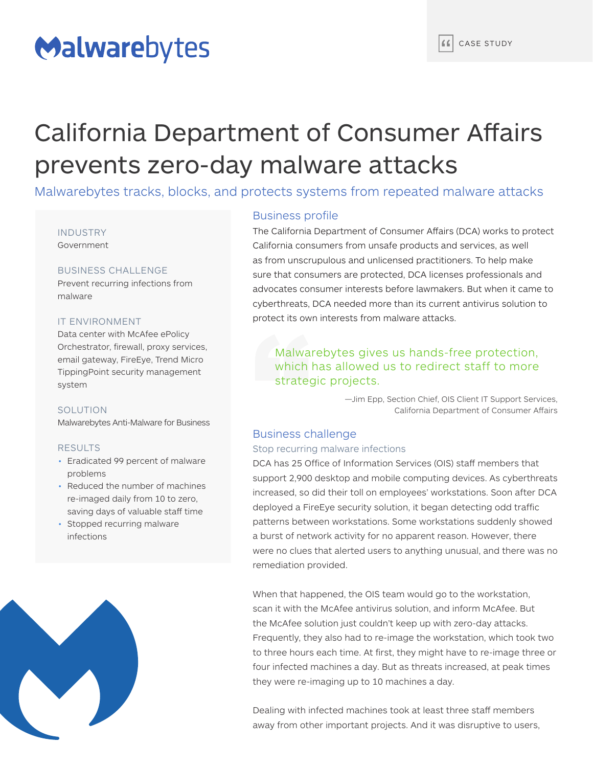# Malwarebytes

# California Department of Consumer Affairs prevents zero-day malware attacks

Malwarebytes tracks, blocks, and protects systems from repeated malware attacks

#### INDUSTRY Government

# BUSINESS CHALLENGE

Prevent recurring infections from malware

## IT ENVIRONMENT

Data center with McAfee ePolicy Orchestrator, firewall, proxy services, email gateway, FireEye, Trend Micro TippingPoint security management system

## **SOLUTION**

Malwarebytes Anti-Malware for Business

## RESULTS

- Eradicated 99 percent of malware problems
- Reduced the number of machines re-imaged daily from 10 to zero, saving days of valuable staff time
- Stopped recurring malware infections



# Business profile

The California Department of Consumer Affairs (DCA) works to protect California consumers from unsafe products and services, as well as from unscrupulous and unlicensed practitioners. To help make sure that consumers are protected, DCA licenses professionals and advocates consumer interests before lawmakers. But when it came to cyberthreats, DCA needed more than its current antivirus solution to protect its own interests from malware attacks.

# Malwarebytes gives us hands-free protection, which has allowed us to redirect staff to more strategic projects.

—Jim Epp, Section Chief, OIS Client IT Support Services, California Department of Consumer Affairs

# Business challenge

## Stop recurring malware infections

DCA has 25 Office of Information Services (OIS) staff members that support 2,900 desktop and mobile computing devices. As cyberthreats increased, so did their toll on employees' workstations. Soon after DCA deployed a FireEye security solution, it began detecting odd traffic patterns between workstations. Some workstations suddenly showed a burst of network activity for no apparent reason. However, there were no clues that alerted users to anything unusual, and there was no remediation provided.

When that happened, the OIS team would go to the workstation, scan it with the McAfee antivirus solution, and inform McAfee. But the McAfee solution just couldn't keep up with zero-day attacks. Frequently, they also had to re-image the workstation, which took two to three hours each time. At first, they might have to re-image three or four infected machines a day. But as threats increased, at peak times they were re-imaging up to 10 machines a day.

Dealing with infected machines took at least three staff members away from other important projects. And it was disruptive to users,